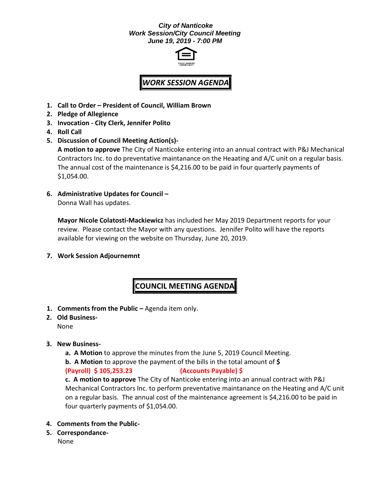### *City of Nanticoke Work Session/City Council Meeting June 19, 2019 - 7:00 PM*



# *WORK SESSION AGENDA*

- **1. Call to Order – President of Council, William Brown**
- **2. Pledge of Allegience**
- **3. Invocation - City Clerk, Jennifer Polito**
- **4. Roll Call**
- **5. Discussion of Council Meeting Action(s)-**

**A motion to approve** The City of Nanticoke entering into an annual contract with P&J Mechanical Contractors Inc. to do preventative maintanance on the Heaating and A/C unit on a regular basis. The annual cost of the maintenance is \$4,216.00 to be paid in four quarterly payments of \$1,054.00.

**6. Administrative Updates for Council –**

Donna Wall has updates.

**Mayor Nicole Colatosti-Mackiewicz** has included her May 2019 Department reports for your review. Please contact the Mayor with any questions. Jennifer Polito will have the reports available for viewing on the website on Thursday, June 20, 2019.

**7. Work Session Adjournemnt**

## **COUNCIL MEETING AGENDA**

- 1. **Comments from the Public -** Agenda item only.
- **2. Old Business-**

None

- **3. New Business**
	- **a. A Motion** to approve the minutes from the June 5, 2019 Council Meeting.
	- **b. A Motion** to approve the payment of the bills in the total amount of **\$**

### **(Payroll) \$ 105,253.23 (Accounts Payable) \$**

**c. A motion to approve** The City of Nanticoke entering into an annual contract with P&J Mechanical Contractors Inc. to perform preventative maintanance on the Heating and A/C unit on a regular basis. The annual cost of the maintenance agreement is \$4,216.00 to be paid in four quarterly payments of \$1,054.00.

- **4. Comments from the Public-**
- **5. Correspondance-**

None